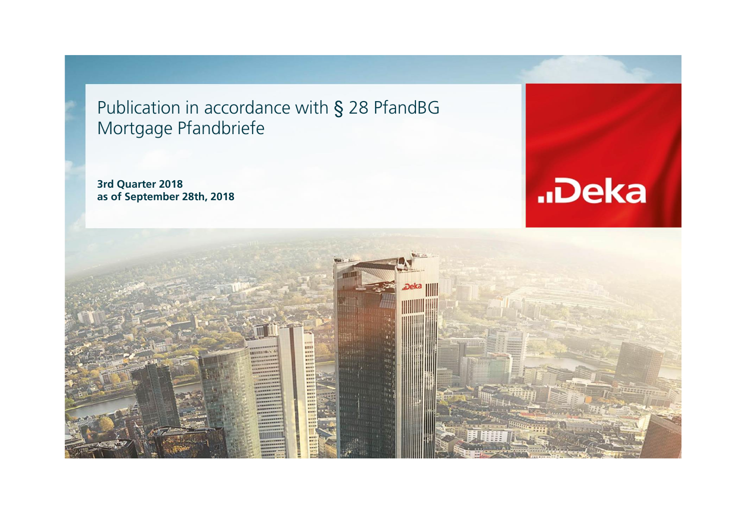Publication in accordance with § 28 PfandBG Mortgage Pfandbriefe

**3rd Quarter 2018 as of September 28th, 2018**



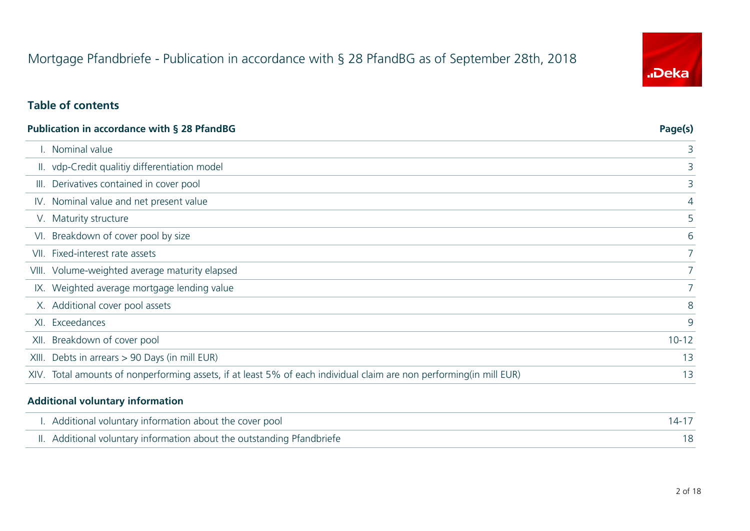# Mortgage Pfandbriefe - Publication in accordance with § 28 PfandBG as of September 28th, 2018



### **Table of contents**

| <b>Publication in accordance with § 28 PfandBG</b>                                                                   | Page(s)        |
|----------------------------------------------------------------------------------------------------------------------|----------------|
| I. Nominal value                                                                                                     | 3              |
| II. vdp-Credit qualitiy differentiation model                                                                        | 3              |
| III. Derivatives contained in cover pool                                                                             | 3              |
| IV. Nominal value and net present value                                                                              | $\overline{4}$ |
| V. Maturity structure                                                                                                | 5              |
| VI. Breakdown of cover pool by size                                                                                  | 6              |
| VII. Fixed-interest rate assets                                                                                      |                |
| VIII. Volume-weighted average maturity elapsed                                                                       | $7^{\circ}$    |
| IX. Weighted average mortgage lending value                                                                          |                |
| X. Additional cover pool assets                                                                                      | 8              |
| XI. Exceedances                                                                                                      | 9              |
| XII. Breakdown of cover pool                                                                                         | $10 - 12$      |
| XIII. Debts in arrears > 90 Days (in mill EUR)                                                                       | 13             |
| XIV. Total amounts of nonperforming assets, if at least 5% of each individual claim are non performing (in mill EUR) | 13             |

#### **Additional voluntary information**

| I. Additional voluntary information about the cover pool               |  |
|------------------------------------------------------------------------|--|
| II. Additional voluntary information about the outstanding Pfandbriefe |  |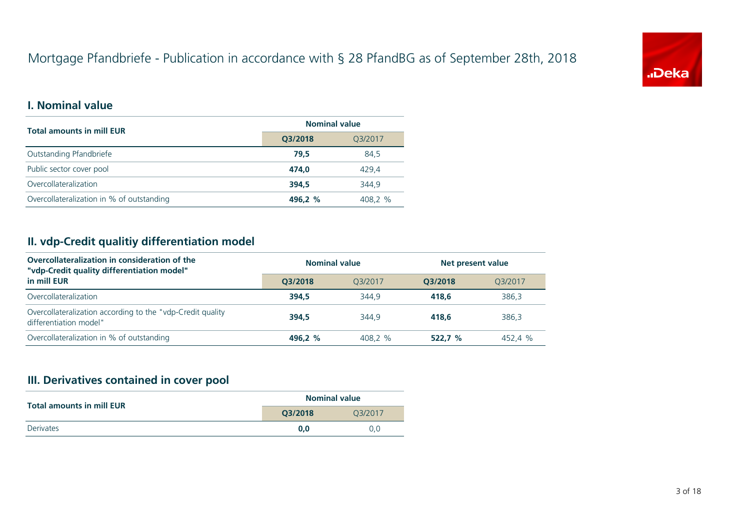# Mortgage Pfandbriefe - Publication in accordance with § 28 PfandBG as of September 28th, 2018



### **I. Nominal value**

| <b>Total amounts in mill EUR</b>          | <b>Nominal value</b> |         |  |  |
|-------------------------------------------|----------------------|---------|--|--|
|                                           | Q3/2018              | Q3/2017 |  |  |
| Outstanding Pfandbriefe                   | 79.5                 | 84.5    |  |  |
| Public sector cover pool                  | 474.0                | 429.4   |  |  |
| Overcollateralization                     | 394.5                | 344.9   |  |  |
| Overcollateralization in % of outstanding | 496.2 %              | 408.2 % |  |  |

### **II. vdp-Credit qualitiy differentiation model**

| Overcollateralization in consideration of the<br>"vdp-Credit quality differentiation model" | <b>Nominal value</b> |         | Net present value |         |  |
|---------------------------------------------------------------------------------------------|----------------------|---------|-------------------|---------|--|
| in mill EUR                                                                                 | O3/2018              | 03/2017 | O3/2018           | 03/2017 |  |
| Overcollateralization                                                                       | 394.5                | 344.9   | 418.6             | 386.3   |  |
| Overcollateralization according to the "vdp-Credit quality<br>differentiation model"        | 394.5                | 344.9   | 418.6             | 386.3   |  |
| Overcollateralization in % of outstanding                                                   | 496.2 %              | 408.2 % | 522.7%            | 452.4 % |  |

#### **III. Derivatives contained in cover pool**

| <b>Total amounts in mill EUR</b> | <b>Nominal value</b> |         |  |  |
|----------------------------------|----------------------|---------|--|--|
|                                  | O3/2018              | 03/2017 |  |  |
| <b>Derivates</b>                 | 0.0                  | 0.0     |  |  |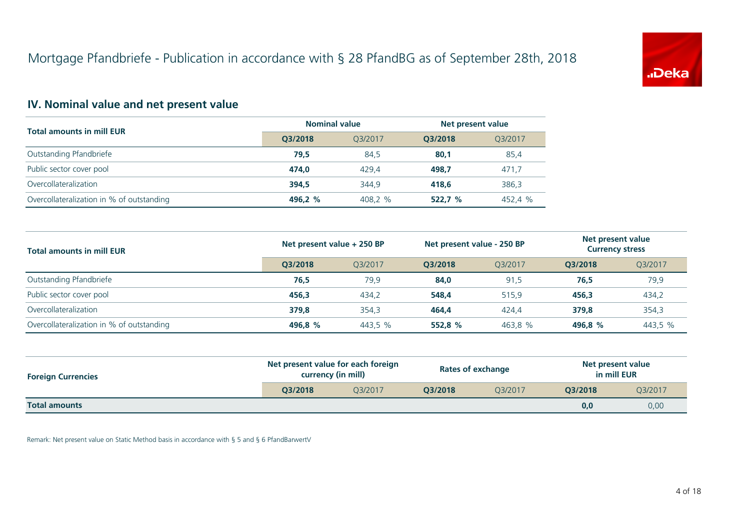

## **IV. Nominal value and net present value**

| <b>Total amounts in mill EUR</b>          | <b>Nominal value</b> |         | Net present value |         |  |
|-------------------------------------------|----------------------|---------|-------------------|---------|--|
|                                           | O3/2018              | 03/2017 | O3/2018           | O3/2017 |  |
| Outstanding Pfandbriefe                   | 79,5                 | 84,5    | 80,1              | 85,4    |  |
| Public sector cover pool                  | 474.0                | 429.4   | 498.7             | 471,7   |  |
| Overcollateralization                     | 394.5                | 344.9   | 418.6             | 386,3   |  |
| Overcollateralization in % of outstanding | 496.2 %              | 408,2 % | 522.7%            | 452,4 % |  |

| <b>Total amounts in mill EUR</b>          | Net present value + 250 BP |         | Net present value - 250 BP |         | Net present value<br><b>Currency stress</b> |         |
|-------------------------------------------|----------------------------|---------|----------------------------|---------|---------------------------------------------|---------|
|                                           | O3/2018                    | O3/2017 | O3/2018                    | O3/2017 | O3/2018                                     | Q3/2017 |
| Outstanding Pfandbriefe                   | 76,5                       | 79.9    | 84,0                       | 91.5    | 76.5                                        | 79,9    |
| Public sector cover pool                  | 456.3                      | 434.2   | 548.4                      | 515.9   | 456.3                                       | 434,2   |
| Overcollateralization                     | 379.8                      | 354,3   | 464.4                      | 424.4   | 379.8                                       | 354,3   |
| Overcollateralization in % of outstanding | 496,8 %                    | 443,5 % | 552,8 %                    | 463,8 % | 496,8 %                                     | 443,5 % |

| <b>Foreign Currencies</b> | Net present value for each foreign<br>currency (in mill) |         |         | <b>Rates of exchange</b> | Net present value<br>in mill EUR |         |
|---------------------------|----------------------------------------------------------|---------|---------|--------------------------|----------------------------------|---------|
|                           | O3/2018                                                  | O3/2017 | O3/2018 | 03/2017                  | O3/2018                          | Q3/2017 |
| <b>Total amounts</b>      |                                                          |         |         |                          | 0,0                              | 0,00    |

Remark: Net present value on Static Method basis in accordance with § 5 and § 6 PfandBarwertV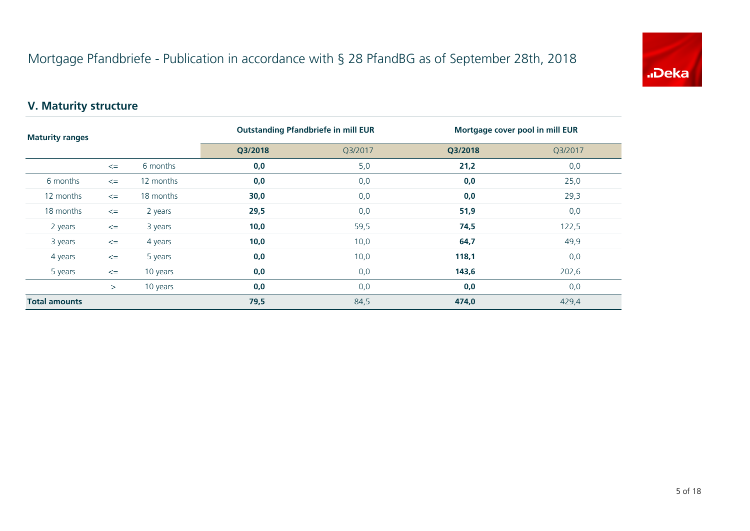

## **V. Maturity structure**

| <b>Maturity ranges</b> |        | <b>Outstanding Pfandbriefe in mill EUR</b> |         | Mortgage cover pool in mill EUR |         |         |
|------------------------|--------|--------------------------------------------|---------|---------------------------------|---------|---------|
|                        |        |                                            | Q3/2018 | Q3/2017                         | Q3/2018 | Q3/2017 |
|                        | $\leq$ | 6 months                                   | 0,0     | 5,0                             | 21,2    | 0,0     |
| 6 months               | $\leq$ | 12 months                                  | 0,0     | 0,0                             | 0,0     | 25,0    |
| 12 months              | $\leq$ | 18 months                                  | 30,0    | 0,0                             | 0,0     | 29,3    |
| 18 months              | $\leq$ | 2 years                                    | 29,5    | 0,0                             | 51,9    | 0,0     |
| 2 years                | $\leq$ | 3 years                                    | 10,0    | 59,5                            | 74,5    | 122,5   |
| 3 years                | $\leq$ | 4 years                                    | 10,0    | 10,0                            | 64,7    | 49,9    |
| 4 years                | $\leq$ | 5 years                                    | 0,0     | 10,0                            | 118,1   | 0,0     |
| 5 years                | $\leq$ | 10 years                                   | 0,0     | 0,0                             | 143,6   | 202,6   |
|                        | >      | 10 years                                   | 0,0     | 0,0                             | 0,0     | 0,0     |
| <b>Total amounts</b>   |        |                                            | 79,5    | 84,5                            | 474,0   | 429,4   |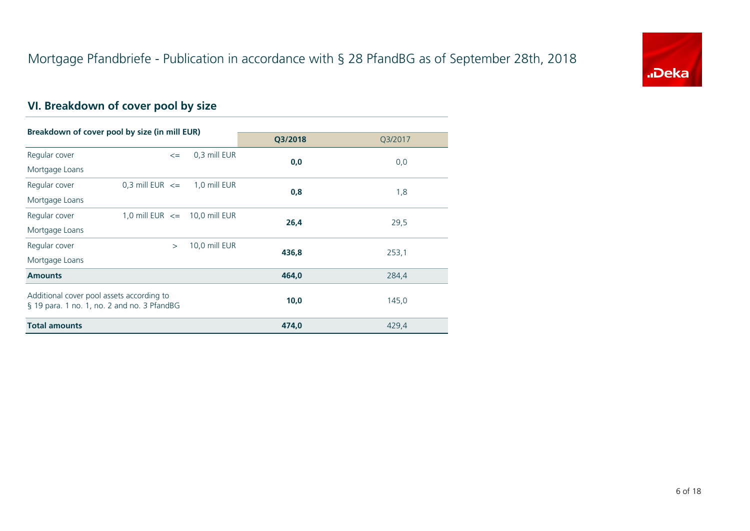

# **VI. Breakdown of cover pool by size**

| Breakdown of cover pool by size (in mill EUR)                                            |                                   |        |               |         |         |  |
|------------------------------------------------------------------------------------------|-----------------------------------|--------|---------------|---------|---------|--|
|                                                                                          |                                   |        |               | Q3/2018 | Q3/2017 |  |
| Regular cover                                                                            |                                   | $\leq$ | 0,3 mill EUR  | 0,0     | 0,0     |  |
| Mortgage Loans                                                                           |                                   |        |               |         |         |  |
| Regular cover                                                                            | $0.3$ mill EUR $\leq$             |        | 1,0 mill EUR  | 0,8     |         |  |
| Mortgage Loans                                                                           |                                   |        |               |         | 1,8     |  |
| Regular cover                                                                            | 1,0 mill EUR $\leq$ 10,0 mill EUR |        |               | 26,4    |         |  |
| Mortgage Loans                                                                           |                                   |        |               |         | 29,5    |  |
| Regular cover                                                                            |                                   | $\geq$ | 10,0 mill EUR |         |         |  |
| Mortgage Loans                                                                           |                                   |        |               | 436,8   | 253,1   |  |
| <b>Amounts</b>                                                                           |                                   |        |               | 464,0   | 284,4   |  |
| Additional cover pool assets according to<br>§ 19 para. 1 no. 1, no. 2 and no. 3 PfandBG |                                   |        |               | 10,0    | 145,0   |  |
| <b>Total amounts</b>                                                                     |                                   |        |               | 474,0   | 429,4   |  |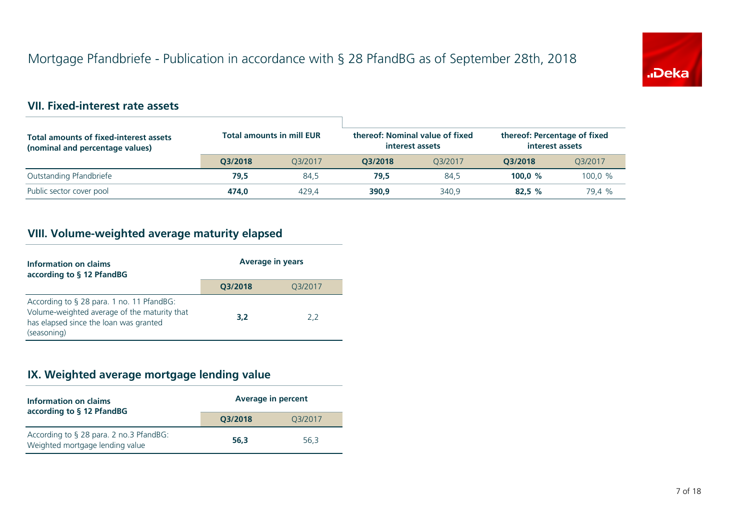

### **VII. Fixed-interest rate assets**

| <b>Total amounts of fixed-interest assets</b><br>(nominal and percentage values) | <b>Total amounts in mill EUR</b> |         | thereof: Nominal value of fixed<br>interest assets |         |           | thereof: Percentage of fixed<br>interest assets |  |
|----------------------------------------------------------------------------------|----------------------------------|---------|----------------------------------------------------|---------|-----------|-------------------------------------------------|--|
|                                                                                  | O3/2018                          | 03/2017 | 03/2018                                            | 03/2017 | O3/2018   | 03/2017                                         |  |
| Outstanding Pfandbriefe                                                          | 79,5                             | 84.5    | 79.5                                               | 84.5    | 100.0 $%$ | 100.0 %                                         |  |
| Public sector cover pool                                                         | 474.0                            | 429.4   | 390.9                                              | 340.9   | 82.5%     | 79.4 %                                          |  |

## **VIII. Volume-weighted average maturity elapsed**

| Information on claims<br>according to § 12 PfandBG                                                                                                 | <b>Average in years</b> |         |  |
|----------------------------------------------------------------------------------------------------------------------------------------------------|-------------------------|---------|--|
|                                                                                                                                                    | Q3/2018                 | Q3/2017 |  |
| According to § 28 para. 1 no. 11 PfandBG:<br>Volume-weighted average of the maturity that<br>has elapsed since the loan was granted<br>(seasoning) | 3,2                     | 2.2     |  |

## **IX. Weighted average mortgage lending value**

| Information on claims<br>according to § 12 PfandBG                         | <b>Average in percent</b> |         |  |
|----------------------------------------------------------------------------|---------------------------|---------|--|
|                                                                            | Q3/2018                   | Q3/2017 |  |
| According to § 28 para. 2 no.3 PfandBG:<br>Weighted mortgage lending value | 56.3                      | 56.3    |  |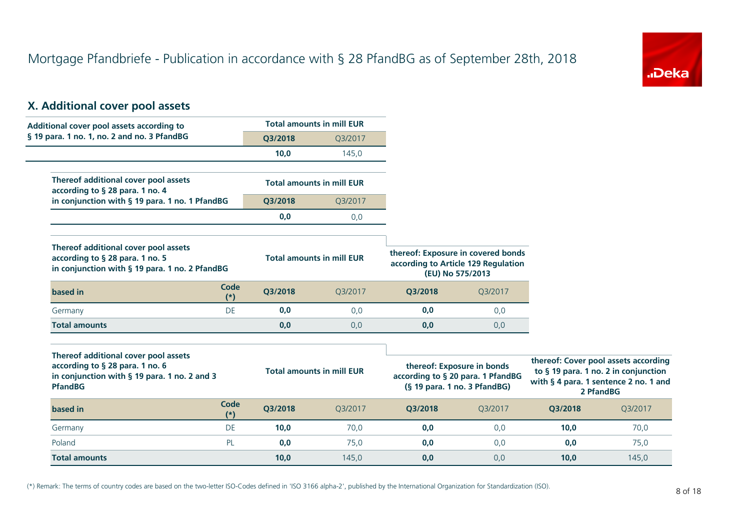

## **X. Additional cover pool assets**

| Additional cover pool assets according to                                                                                                 |                      |         | <b>Total amounts in mill EUR</b> |                                                                                               |                            |         |                                                                                                                                    |
|-------------------------------------------------------------------------------------------------------------------------------------------|----------------------|---------|----------------------------------|-----------------------------------------------------------------------------------------------|----------------------------|---------|------------------------------------------------------------------------------------------------------------------------------------|
| § 19 para. 1 no. 1, no. 2 and no. 3 PfandBG                                                                                               |                      | Q3/2018 | Q3/2017                          |                                                                                               |                            |         |                                                                                                                                    |
|                                                                                                                                           |                      | 10,0    | 145,0                            |                                                                                               |                            |         |                                                                                                                                    |
| Thereof additional cover pool assets<br>according to § 28 para. 1 no. 4                                                                   |                      |         | <b>Total amounts in mill EUR</b> |                                                                                               |                            |         |                                                                                                                                    |
| in conjunction with § 19 para. 1 no. 1 PfandBG                                                                                            |                      | Q3/2018 | Q3/2017                          |                                                                                               |                            |         |                                                                                                                                    |
|                                                                                                                                           |                      | 0,0     | 0,0                              |                                                                                               |                            |         |                                                                                                                                    |
| Thereof additional cover pool assets<br>according to § 28 para. 1 no. 5<br>in conjunction with § 19 para. 1 no. 2 PfandBG                 |                      |         | <b>Total amounts in mill EUR</b> | thereof: Exposure in covered bonds<br>according to Article 129 Regulation<br>(EU) No 575/2013 |                            |         |                                                                                                                                    |
| based in                                                                                                                                  | <b>Code</b><br>$(*)$ | Q3/2018 | Q3/2017                          | Q3/2018                                                                                       | Q3/2017                    |         |                                                                                                                                    |
| Germany                                                                                                                                   | DE                   | 0,0     | 0,0                              | 0,0                                                                                           | 0,0                        |         |                                                                                                                                    |
| <b>Total amounts</b>                                                                                                                      |                      | 0,0     | 0,0                              | 0,0                                                                                           | 0,0                        |         |                                                                                                                                    |
| Thereof additional cover pool assets<br>according to § 28 para. 1 no. 6<br>in conjunction with § 19 para. 1 no. 2 and 3<br><b>PfandBG</b> |                      |         | <b>Total amounts in mill EUR</b> | according to § 20 para. 1 PfandBG<br>(§ 19 para. 1 no. 3 PfandBG)                             | thereof: Exposure in bonds |         | thereof: Cover pool assets according<br>to § 19 para. 1 no. 2 in conjunction<br>with § 4 para. 1 sentence 2 no. 1 and<br>2 PfandBG |
| based in                                                                                                                                  | Code<br>$(*)$        | Q3/2018 | Q3/2017                          | Q3/2018                                                                                       | Q3/2017                    | Q3/2018 | Q3/2017                                                                                                                            |
| Germany                                                                                                                                   | DE                   | 10,0    | 70,0                             | 0,0                                                                                           | 0,0                        | 10,0    | 70,0                                                                                                                               |
| Poland                                                                                                                                    | PL                   | 0,0     | 75,0                             | 0,0                                                                                           | 0,0                        | 0,0     | 75,0                                                                                                                               |
| <b>Total amounts</b>                                                                                                                      |                      | 10,0    | 145,0                            | 0,0                                                                                           | 0,0                        | 10,0    | 145,0                                                                                                                              |

(\*) Remark: The terms of country codes are based on the two-letter ISO-Codes defined in 'ISO 3166 alpha-2', published by the International Organization for Standardization (ISO).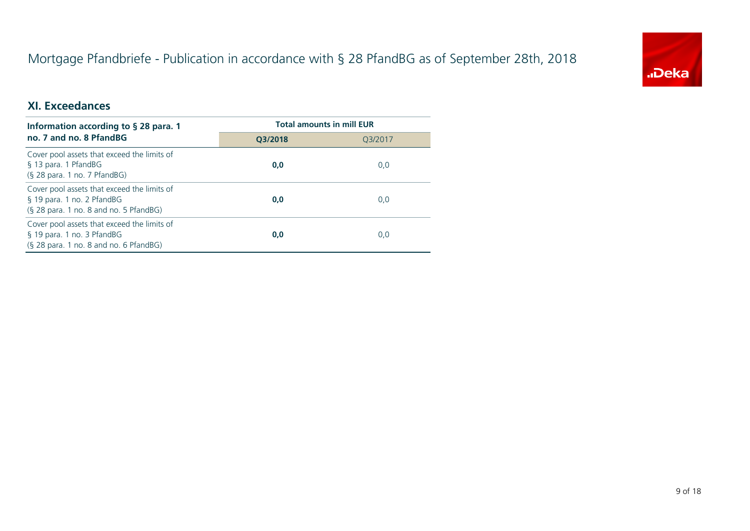# Mortgage Pfandbriefe - Publication in accordance with § 28 PfandBG as of September 28th, 2018



## **XI. Exceedances**

| Information according to $\S$ 28 para. 1                                                                            | <b>Total amounts in mill EUR</b> |         |  |
|---------------------------------------------------------------------------------------------------------------------|----------------------------------|---------|--|
| no. 7 and no. 8 PfandBG                                                                                             | O3/2018                          | 03/2017 |  |
| Cover pool assets that exceed the limits of<br>§ 13 para. 1 PfandBG<br>(§ 28 para. 1 no. 7 PfandBG)                 | 0,0                              | 0,0     |  |
| Cover pool assets that exceed the limits of<br>§ 19 para. 1 no. 2 PfandBG<br>(§ 28 para. 1 no. 8 and no. 5 PfandBG) | 0,0                              | 0,0     |  |
| Cover pool assets that exceed the limits of<br>§ 19 para. 1 no. 3 PfandBG<br>(§ 28 para. 1 no. 8 and no. 6 PfandBG) | 0,0                              | 0,0     |  |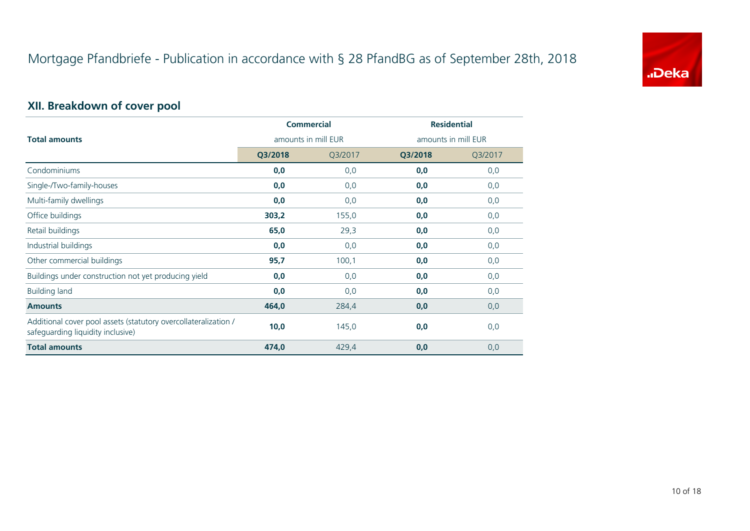

# **XII. Breakdown of cover pool**

|                                                                                                      | <b>Commercial</b>   |         | <b>Residential</b>  |         |  |
|------------------------------------------------------------------------------------------------------|---------------------|---------|---------------------|---------|--|
| <b>Total amounts</b>                                                                                 | amounts in mill EUR |         | amounts in mill EUR |         |  |
|                                                                                                      | Q3/2018             | Q3/2017 | Q3/2018             | Q3/2017 |  |
| Condominiums                                                                                         | 0,0                 | 0,0     | 0,0                 | 0,0     |  |
| Single-/Two-family-houses                                                                            | 0,0                 | 0,0     | 0,0                 | 0,0     |  |
| Multi-family dwellings                                                                               | 0,0                 | 0,0     | 0,0                 | 0,0     |  |
| Office buildings                                                                                     | 303,2               | 155,0   | 0,0                 | 0,0     |  |
| Retail buildings                                                                                     | 65,0                | 29,3    | 0,0                 | 0,0     |  |
| Industrial buildings                                                                                 | 0,0                 | 0,0     | 0,0                 | 0,0     |  |
| Other commercial buildings                                                                           | 95,7                | 100,1   | 0,0                 | 0,0     |  |
| Buildings under construction not yet producing yield                                                 | 0,0                 | 0,0     | 0,0                 | 0,0     |  |
| <b>Building land</b>                                                                                 | 0,0                 | 0,0     | 0,0                 | 0,0     |  |
| <b>Amounts</b>                                                                                       | 464,0               | 284,4   | 0,0                 | 0,0     |  |
| Additional cover pool assets (statutory overcollateralization /<br>safeguarding liquidity inclusive) | 10,0                | 145,0   | 0,0                 | 0,0     |  |
| <b>Total amounts</b>                                                                                 | 474,0               | 429,4   | 0,0                 | 0,0     |  |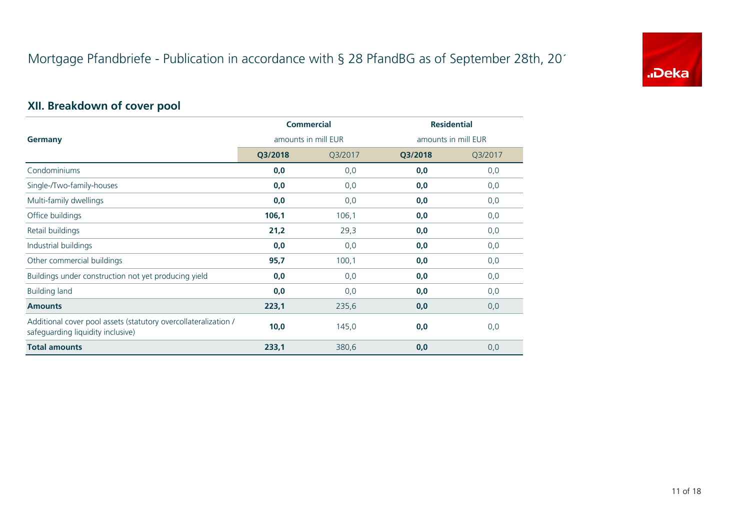

# **XII. Breakdown of cover pool**

|                                                                                                      | <b>Commercial</b>   |         | <b>Residential</b>  |         |  |
|------------------------------------------------------------------------------------------------------|---------------------|---------|---------------------|---------|--|
| Germany                                                                                              | amounts in mill EUR |         | amounts in mill EUR |         |  |
|                                                                                                      | Q3/2018             | Q3/2017 | Q3/2018             | Q3/2017 |  |
| Condominiums                                                                                         | 0,0                 | 0,0     | 0,0                 | 0,0     |  |
| Single-/Two-family-houses                                                                            | 0,0                 | 0,0     | 0,0                 | 0,0     |  |
| Multi-family dwellings                                                                               | 0,0                 | 0,0     | 0,0                 | 0,0     |  |
| Office buildings                                                                                     | 106,1               | 106,1   | 0,0                 | 0,0     |  |
| Retail buildings                                                                                     | 21,2                | 29,3    | 0,0                 | 0,0     |  |
| Industrial buildings                                                                                 | 0,0                 | 0,0     | 0,0                 | 0,0     |  |
| Other commercial buildings                                                                           | 95,7                | 100,1   | 0,0                 | 0,0     |  |
| Buildings under construction not yet producing yield                                                 | 0,0                 | 0,0     | 0,0                 | 0,0     |  |
| <b>Building land</b>                                                                                 | 0,0                 | 0,0     | 0,0                 | 0,0     |  |
| <b>Amounts</b>                                                                                       | 223,1               | 235,6   | 0,0                 | 0,0     |  |
| Additional cover pool assets (statutory overcollateralization /<br>safeguarding liquidity inclusive) | 10,0                | 145,0   | 0,0                 | 0,0     |  |
| <b>Total amounts</b>                                                                                 | 233,1               | 380,6   | 0,0                 | 0,0     |  |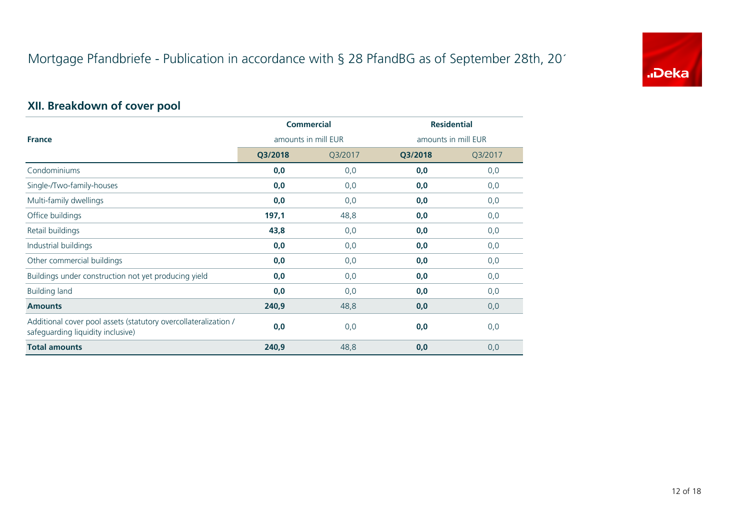

# **XII. Breakdown of cover pool**

|                                                                                                      | <b>Commercial</b>   |         | <b>Residential</b>  |         |
|------------------------------------------------------------------------------------------------------|---------------------|---------|---------------------|---------|
| <b>France</b>                                                                                        | amounts in mill EUR |         | amounts in mill EUR |         |
|                                                                                                      | Q3/2018             | Q3/2017 | Q3/2018             | Q3/2017 |
| Condominiums                                                                                         | 0,0                 | 0,0     | 0,0                 | 0,0     |
| Single-/Two-family-houses                                                                            | 0,0                 | 0,0     | 0,0                 | 0,0     |
| Multi-family dwellings                                                                               | 0,0                 | 0,0     | 0,0                 | 0,0     |
| Office buildings                                                                                     | 197,1               | 48,8    | 0,0                 | 0,0     |
| Retail buildings                                                                                     | 43,8                | 0,0     | 0,0                 | 0,0     |
| Industrial buildings                                                                                 | 0,0                 | 0,0     | 0,0                 | 0,0     |
| Other commercial buildings                                                                           | 0,0                 | 0,0     | 0,0                 | 0,0     |
| Buildings under construction not yet producing yield                                                 | 0,0                 | 0,0     | 0,0                 | 0,0     |
| <b>Building land</b>                                                                                 | 0,0                 | 0,0     | 0,0                 | 0,0     |
| <b>Amounts</b>                                                                                       | 240,9               | 48,8    | 0,0                 | 0,0     |
| Additional cover pool assets (statutory overcollateralization /<br>safeguarding liquidity inclusive) | 0,0                 | 0,0     | 0,0                 | 0,0     |
| <b>Total amounts</b>                                                                                 | 240,9               | 48,8    | 0,0                 | 0,0     |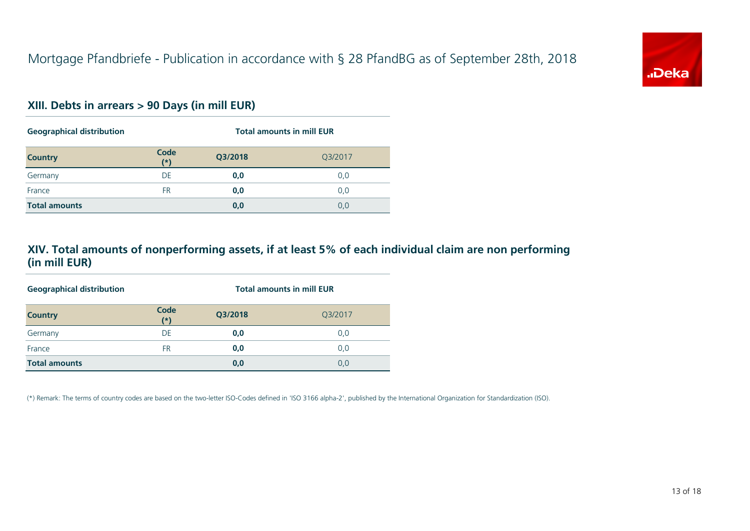

#### **XIII. Debts in arrears > 90 Days (in mill EUR)**

| <b>Geographical distribution</b> |               | <b>Total amounts in mill EUR</b> |         |  |
|----------------------------------|---------------|----------------------------------|---------|--|
| <b>Country</b>                   | Code<br>$(*)$ | Q3/2018                          | Q3/2017 |  |
| Germany                          | DE            | 0,0                              | 0,0     |  |
| France                           | FR            | 0,0                              | 0,0     |  |
| <b>Total amounts</b>             |               | 0,0                              | 0,0     |  |

### **XIV. Total amounts of nonperforming assets, if at least 5% of each individual claim are non performing (in mill EUR)**

| <b>Geographical distribution</b> |               | <b>Total amounts in mill EUR</b> |         |  |
|----------------------------------|---------------|----------------------------------|---------|--|
| <b>Country</b>                   | Code<br>$(*)$ | Q3/2018                          | Q3/2017 |  |
| Germany                          | DE            | 0,0                              | 0,0     |  |
| France                           | FR            | 0,0                              | 0,0     |  |
| <b>Total amounts</b>             |               | 0,0                              | 0,0     |  |

(\*) Remark: The terms of country codes are based on the two-letter ISO-Codes defined in 'ISO 3166 alpha-2', published by the International Organization for Standardization (ISO).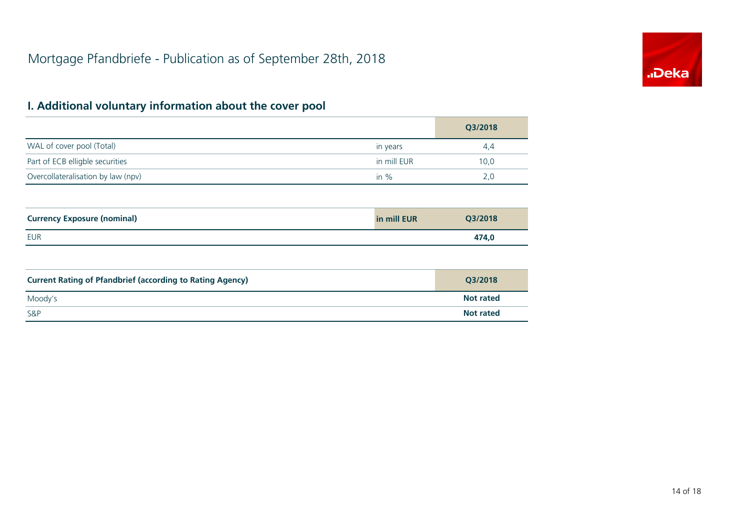

|                                    |             | Q3/2018 |
|------------------------------------|-------------|---------|
| WAL of cover pool (Total)          | in years    | 4.4     |
| Part of ECB elligble securities    | in mill EUR | 10,0    |
| Overcollateralisation by law (npv) | in $\%$     | 2.0     |

| <b>Currency Exposure (nominal)</b> | in mill EUR | Q3/2018 |
|------------------------------------|-------------|---------|
| EUR                                |             | 474,0   |

| <b>Current Rating of Pfandbrief (according to Rating Agency)</b> | O3/2018          |
|------------------------------------------------------------------|------------------|
| Moody's                                                          | <b>Not rated</b> |
| <b>S&amp;P</b>                                                   | <b>Not rated</b> |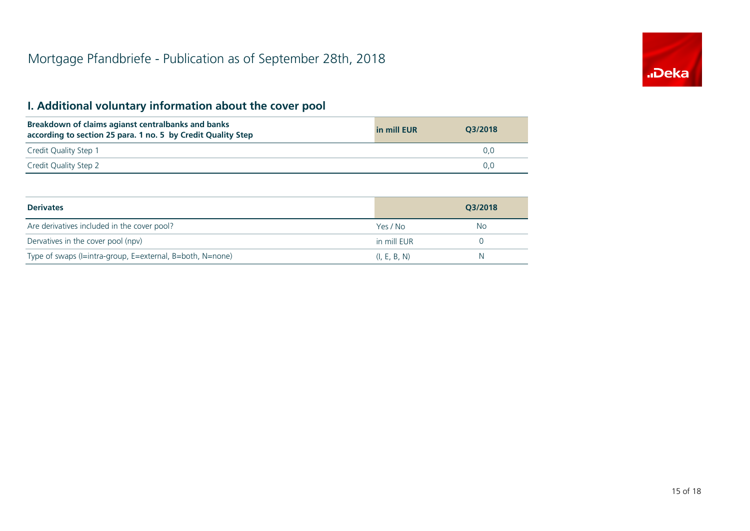

| Breakdown of claims agianst centralbanks and banks<br>according to section 25 para. 1 no. 5 by Credit Quality Step | in mill EUR | O3/2018       |
|--------------------------------------------------------------------------------------------------------------------|-------------|---------------|
| Credit Quality Step 1                                                                                              |             | 0.0           |
| Credit Quality Step 2                                                                                              |             | $0.0^{\circ}$ |

| <b>Derivates</b>                                          |              | 03/2018 |
|-----------------------------------------------------------|--------------|---------|
| Are derivatives included in the cover pool?               | Yes / No     | No      |
| Dervatives in the cover pool (npv)                        | in mill EUR  |         |
| Type of swaps (I=intra-group, E=external, B=both, N=none) | (I, E, B, N) | N       |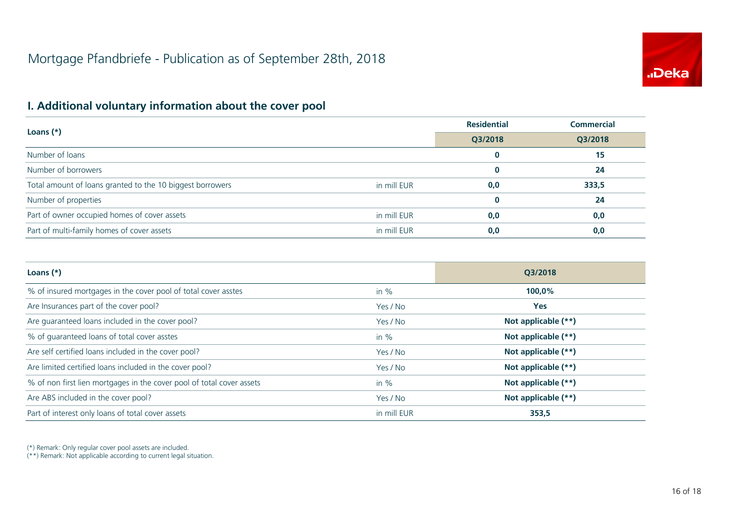

|                                                           |             | <b>Residential</b> | <b>Commercial</b> |  |
|-----------------------------------------------------------|-------------|--------------------|-------------------|--|
| Loans $(*)$                                               | Q3/2018     | Q3/2018            |                   |  |
| Number of loans                                           |             |                    | 15                |  |
| Number of borrowers                                       |             |                    | 24                |  |
| Total amount of loans granted to the 10 biggest borrowers | in mill EUR | 0,0                | 333,5             |  |
| Number of properties                                      |             | 0                  | 24                |  |
| Part of owner occupied homes of cover assets              | in mill EUR | 0,0                | 0,0               |  |
| Part of multi-family homes of cover assets                | in mill EUR | 0,0                | 0,0               |  |

| Loans $(*)$                                                           |             | O3/2018             |
|-----------------------------------------------------------------------|-------------|---------------------|
| % of insured mortgages in the cover pool of total cover asstes        | in $%$      | 100,0%              |
| Are Insurances part of the cover pool?                                | Yes / No    | <b>Yes</b>          |
| Are guaranteed loans included in the cover pool?                      | Yes / No    | Not applicable (**) |
| % of quaranteed loans of total cover asstes                           | in $%$      | Not applicable (**) |
| Are self certified loans included in the cover pool?                  | Yes / No    | Not applicable (**) |
| Are limited certified loans included in the cover pool?               | Yes / No    | Not applicable (**) |
| % of non first lien mortgages in the cover pool of total cover assets | in $%$      | Not applicable (**) |
| Are ABS included in the cover pool?                                   | Yes / No    | Not applicable (**) |
| Part of interest only loans of total cover assets                     | in mill EUR | 353,5               |

(\*) Remark: Only regular cover pool assets are included.

(\*\*) Remark: Not applicable according to current legal situation.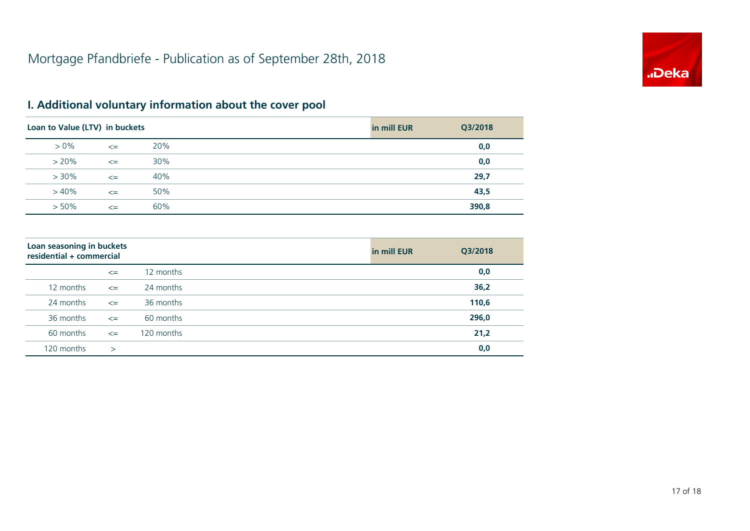

| Loan to Value (LTV) in buckets |        |     | in mill EUR | Q3/2018 |
|--------------------------------|--------|-----|-------------|---------|
| $> 0\%$                        | $\leq$ | 20% |             | 0,0     |
| $> 20\%$                       | $\leq$ | 30% |             | 0,0     |
| $> 30\%$                       | $\leq$ | 40% |             | 29,7    |
| $>40\%$                        | $\leq$ | 50% |             | 43,5    |
| $> 50\%$                       | $\leq$ | 60% |             | 390,8   |

| Loan seasoning in buckets<br>residential + commercial |        |            | in mill EUR | Q3/2018 |
|-------------------------------------------------------|--------|------------|-------------|---------|
|                                                       | $\leq$ | 12 months  |             | 0,0     |
| 12 months                                             | $\leq$ | 24 months  |             | 36,2    |
| 24 months                                             | $\leq$ | 36 months  |             | 110,6   |
| 36 months                                             | $\leq$ | 60 months  |             | 296,0   |
| 60 months                                             | $\leq$ | 120 months |             | 21,2    |
| 120 months                                            | $\geq$ |            |             | 0,0     |